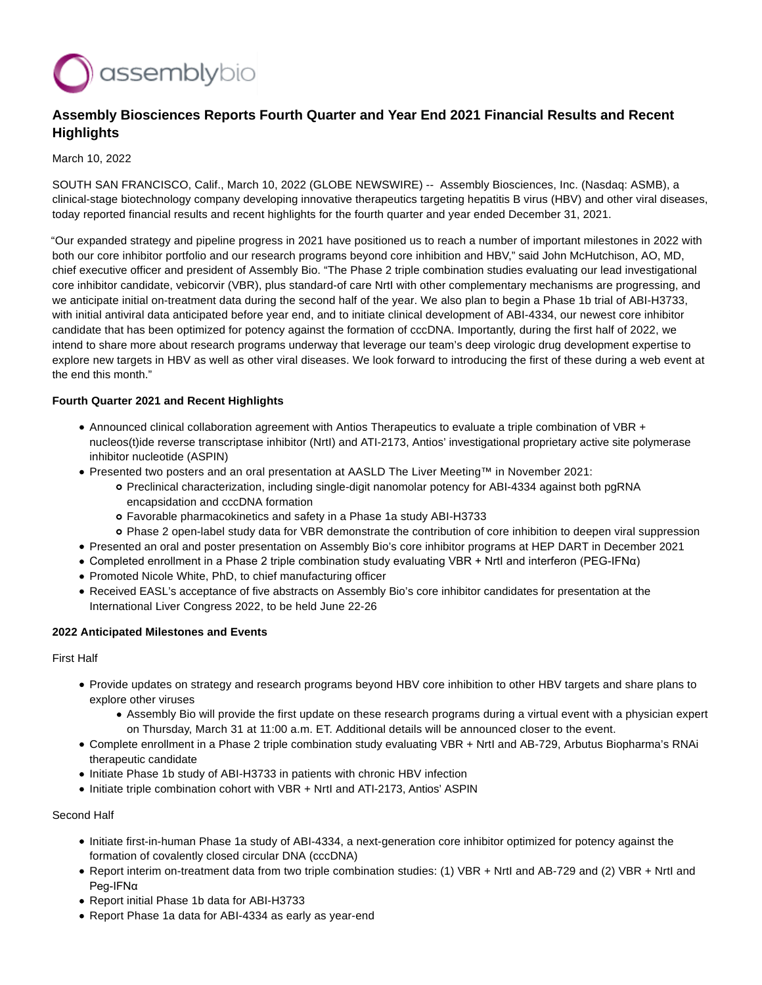

# **Assembly Biosciences Reports Fourth Quarter and Year End 2021 Financial Results and Recent Highlights**

#### March 10, 2022

SOUTH SAN FRANCISCO, Calif., March 10, 2022 (GLOBE NEWSWIRE) -- Assembly Biosciences, Inc. (Nasdaq: ASMB), a clinical-stage biotechnology company developing innovative therapeutics targeting hepatitis B virus (HBV) and other viral diseases, today reported financial results and recent highlights for the fourth quarter and year ended December 31, 2021.

"Our expanded strategy and pipeline progress in 2021 have positioned us to reach a number of important milestones in 2022 with both our core inhibitor portfolio and our research programs beyond core inhibition and HBV," said John McHutchison, AO, MD, chief executive officer and president of Assembly Bio. "The Phase 2 triple combination studies evaluating our lead investigational core inhibitor candidate, vebicorvir (VBR), plus standard-of care NrtI with other complementary mechanisms are progressing, and we anticipate initial on-treatment data during the second half of the year. We also plan to begin a Phase 1b trial of ABI-H3733, with initial antiviral data anticipated before year end, and to initiate clinical development of ABI-4334, our newest core inhibitor candidate that has been optimized for potency against the formation of cccDNA. Importantly, during the first half of 2022, we intend to share more about research programs underway that leverage our team's deep virologic drug development expertise to explore new targets in HBV as well as other viral diseases. We look forward to introducing the first of these during a web event at the end this month."

#### **Fourth Quarter 2021 and Recent Highlights**

- Announced clinical collaboration agreement with Antios Therapeutics to evaluate a triple combination of VBR + nucleos(t)ide reverse transcriptase inhibitor (NrtI) and ATI-2173, Antios' investigational proprietary active site polymerase inhibitor nucleotide (ASPIN)
- Presented two posters and an oral presentation at AASLD The Liver Meeting™ in November 2021:
	- Preclinical characterization, including single-digit nanomolar potency for ABI-4334 against both pgRNA encapsidation and cccDNA formation
	- Favorable pharmacokinetics and safety in a Phase 1a study ABI-H3733
	- Phase 2 open-label study data for VBR demonstrate the contribution of core inhibition to deepen viral suppression
- Presented an oral and poster presentation on Assembly Bio's core inhibitor programs at HEP DART in December 2021
- Completed enrollment in a Phase 2 triple combination study evaluating VBR + NrtI and interferon (PEG-IFNα)
- Promoted Nicole White, PhD, to chief manufacturing officer
- Received EASL's acceptance of five abstracts on Assembly Bio's core inhibitor candidates for presentation at the International Liver Congress 2022, to be held June 22-26

#### **2022 Anticipated Milestones and Events**

#### First Half

- Provide updates on strategy and research programs beyond HBV core inhibition to other HBV targets and share plans to explore other viruses
	- Assembly Bio will provide the first update on these research programs during a virtual event with a physician expert on Thursday, March 31 at 11:00 a.m. ET. Additional details will be announced closer to the event.
- Complete enrollment in a Phase 2 triple combination study evaluating VBR + NrtI and AB-729, Arbutus Biopharma's RNAi therapeutic candidate
- Initiate Phase 1b study of ABI-H3733 in patients with chronic HBV infection
- Initiate triple combination cohort with VBR + NrtI and ATI-2173, Antios' ASPIN

#### Second Half

- Initiate first-in-human Phase 1a study of ABI-4334, a next-generation core inhibitor optimized for potency against the formation of covalently closed circular DNA (cccDNA)
- Report interim on-treatment data from two triple combination studies: (1) VBR + NrtI and AB-729 and (2) VBR + NrtI and Peg-IFNα
- Report initial Phase 1b data for ABI-H3733
- Report Phase 1a data for ABI-4334 as early as year-end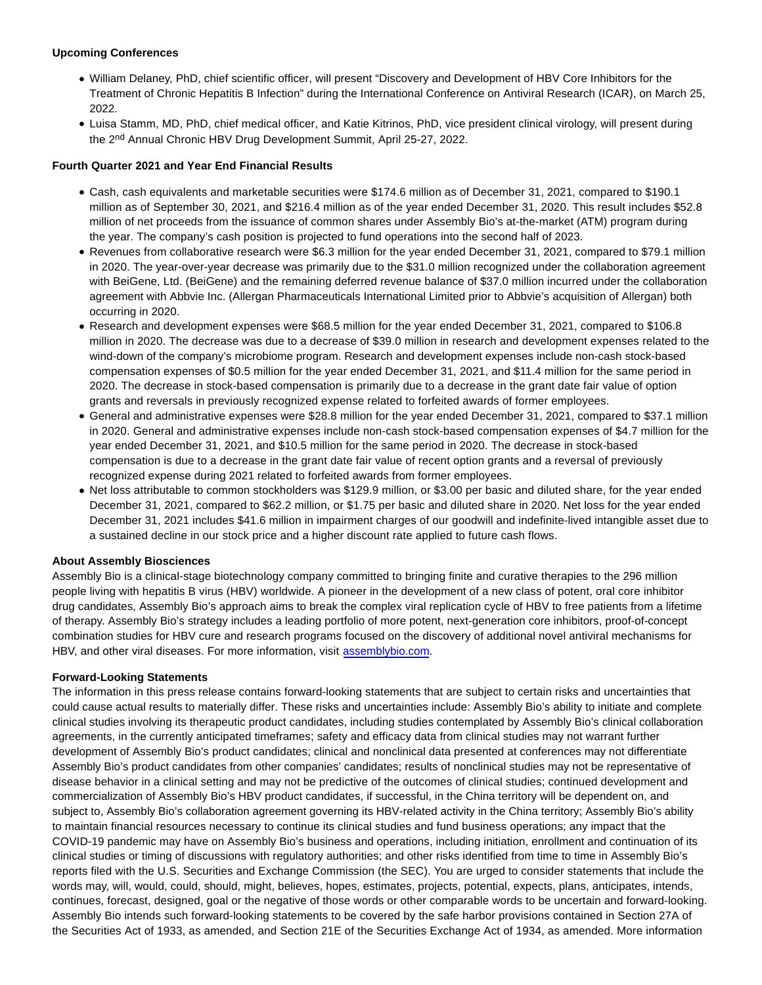#### **Upcoming Conferences**

- William Delaney, PhD, chief scientific officer, will present "Discovery and Development of HBV Core Inhibitors for the Treatment of Chronic Hepatitis B Infection" during the International Conference on Antiviral Research (ICAR), on March 25, 2022.
- Luisa Stamm, MD, PhD, chief medical officer, and Katie Kitrinos, PhD, vice president clinical virology, will present during the 2nd Annual Chronic HBV Drug Development Summit, April 25-27, 2022.

### **Fourth Quarter 2021 and Year End Financial Results**

- Cash, cash equivalents and marketable securities were \$174.6 million as of December 31, 2021, compared to \$190.1 million as of September 30, 2021, and \$216.4 million as of the year ended December 31, 2020. This result includes \$52.8 million of net proceeds from the issuance of common shares under Assembly Bio's at-the-market (ATM) program during the year. The company's cash position is projected to fund operations into the second half of 2023.
- Revenues from collaborative research were \$6.3 million for the year ended December 31, 2021, compared to \$79.1 million in 2020. The year-over-year decrease was primarily due to the \$31.0 million recognized under the collaboration agreement with BeiGene, Ltd. (BeiGene) and the remaining deferred revenue balance of \$37.0 million incurred under the collaboration agreement with Abbvie Inc. (Allergan Pharmaceuticals International Limited prior to Abbvie's acquisition of Allergan) both occurring in 2020.
- Research and development expenses were \$68.5 million for the year ended December 31, 2021, compared to \$106.8 million in 2020. The decrease was due to a decrease of \$39.0 million in research and development expenses related to the wind-down of the company's microbiome program. Research and development expenses include non-cash stock-based compensation expenses of \$0.5 million for the year ended December 31, 2021, and \$11.4 million for the same period in 2020. The decrease in stock-based compensation is primarily due to a decrease in the grant date fair value of option grants and reversals in previously recognized expense related to forfeited awards of former employees.
- General and administrative expenses were \$28.8 million for the year ended December 31, 2021, compared to \$37.1 million in 2020. General and administrative expenses include non-cash stock-based compensation expenses of \$4.7 million for the year ended December 31, 2021, and \$10.5 million for the same period in 2020. The decrease in stock-based compensation is due to a decrease in the grant date fair value of recent option grants and a reversal of previously recognized expense during 2021 related to forfeited awards from former employees.
- Net loss attributable to common stockholders was \$129.9 million, or \$3.00 per basic and diluted share, for the year ended December 31, 2021, compared to \$62.2 million, or \$1.75 per basic and diluted share in 2020. Net loss for the year ended December 31, 2021 includes \$41.6 million in impairment charges of our goodwill and indefinite-lived intangible asset due to a sustained decline in our stock price and a higher discount rate applied to future cash flows.

## **About Assembly Biosciences**

Assembly Bio is a clinical-stage biotechnology company committed to bringing finite and curative therapies to the 296 million people living with hepatitis B virus (HBV) worldwide. A pioneer in the development of a new class of potent, oral core inhibitor drug candidates, Assembly Bio's approach aims to break the complex viral replication cycle of HBV to free patients from a lifetime of therapy. Assembly Bio's strategy includes a leading portfolio of more potent, next-generation core inhibitors, proof-of-concept combination studies for HBV cure and research programs focused on the discovery of additional novel antiviral mechanisms for HBV, and other viral diseases. For more information, visit [assemblybio.com.](https://www.globenewswire.com/Tracker?data=0iWPzw6AHjyfM9Vh5WnnjrlBUfYXdvVxMPpusJUUszad8COT6aD1GV0nbISd6H8SV1ecTDFgXIphTt3U1SyiunCKX0CzwR7ToznwvJcJj6k=)

## **Forward-Looking Statements**

The information in this press release contains forward-looking statements that are subject to certain risks and uncertainties that could cause actual results to materially differ. These risks and uncertainties include: Assembly Bio's ability to initiate and complete clinical studies involving its therapeutic product candidates, including studies contemplated by Assembly Bio's clinical collaboration agreements, in the currently anticipated timeframes; safety and efficacy data from clinical studies may not warrant further development of Assembly Bio's product candidates; clinical and nonclinical data presented at conferences may not differentiate Assembly Bio's product candidates from other companies' candidates; results of nonclinical studies may not be representative of disease behavior in a clinical setting and may not be predictive of the outcomes of clinical studies; continued development and commercialization of Assembly Bio's HBV product candidates, if successful, in the China territory will be dependent on, and subject to, Assembly Bio's collaboration agreement governing its HBV-related activity in the China territory; Assembly Bio's ability to maintain financial resources necessary to continue its clinical studies and fund business operations; any impact that the COVID-19 pandemic may have on Assembly Bio's business and operations, including initiation, enrollment and continuation of its clinical studies or timing of discussions with regulatory authorities; and other risks identified from time to time in Assembly Bio's reports filed with the U.S. Securities and Exchange Commission (the SEC). You are urged to consider statements that include the words may, will, would, could, should, might, believes, hopes, estimates, projects, potential, expects, plans, anticipates, intends, continues, forecast, designed, goal or the negative of those words or other comparable words to be uncertain and forward-looking. Assembly Bio intends such forward-looking statements to be covered by the safe harbor provisions contained in Section 27A of the Securities Act of 1933, as amended, and Section 21E of the Securities Exchange Act of 1934, as amended. More information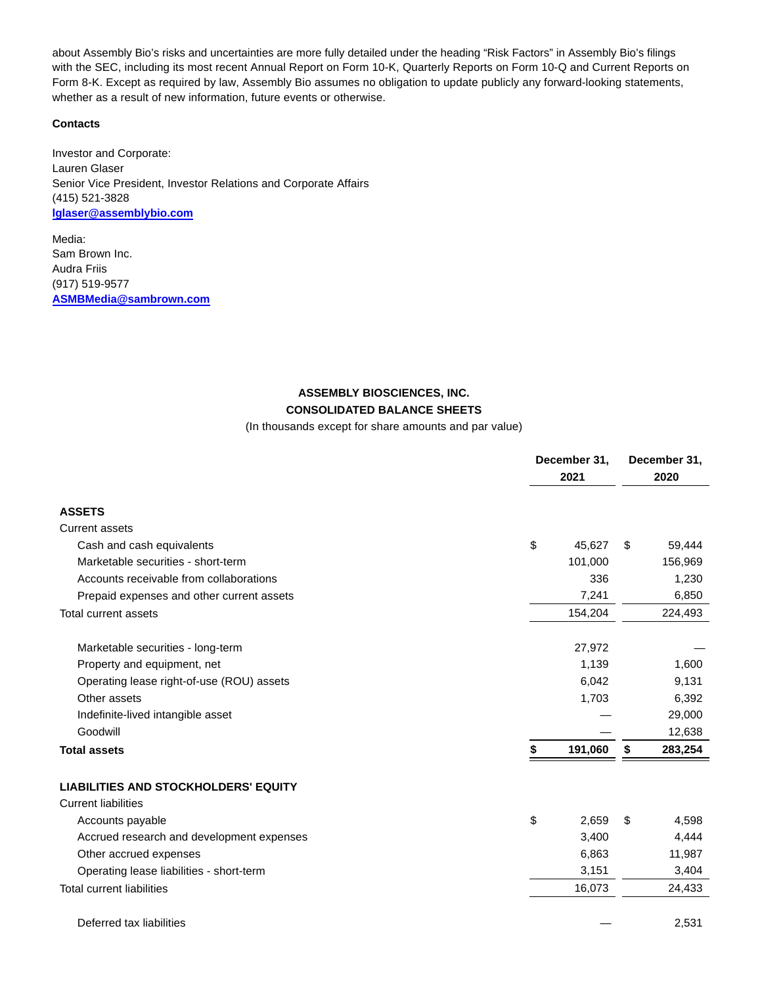about Assembly Bio's risks and uncertainties are more fully detailed under the heading "Risk Factors" in Assembly Bio's filings with the SEC, including its most recent Annual Report on Form 10-K, Quarterly Reports on Form 10-Q and Current Reports on Form 8-K. Except as required by law, Assembly Bio assumes no obligation to update publicly any forward-looking statements, whether as a result of new information, future events or otherwise.

#### **Contacts**

Investor and Corporate: Lauren Glaser Senior Vice President, Investor Relations and Corporate Affairs (415) 521-3828 **[lglaser@assemblybio.com](https://www.globenewswire.com/Tracker?data=LQfCyj1Vject7MJrNt3QNiXBXY5lpbPF38rLze-_66Sm35pwRF7pp7wpbKoAABqP1RGjLnsaX9_N_BDli0CsLfe7E_yKz1-p3j-MaenXPs0=)**

Media: Sam Brown Inc. Audra Friis (917) 519-9577 **[ASMBMedia@sambrown.com](https://www.globenewswire.com/Tracker?data=wHMnLrin2R5MHTsuCDUtTnN2YSSvLeN1fQ6yrMYp4gE-N96f2BKZ4HTmfapBZnsduHwNFW0xLTVNjTrQoBnP1cEXEWGBE9Ue0b-FalmjXO8=)**

# **ASSEMBLY BIOSCIENCES, INC. CONSOLIDATED BALANCE SHEETS**

(In thousands except for share amounts and par value)

|                                             |    | December 31,<br>2021 |    | December 31,<br>2020 |  |
|---------------------------------------------|----|----------------------|----|----------------------|--|
|                                             |    |                      |    |                      |  |
| <b>ASSETS</b>                               |    |                      |    |                      |  |
| <b>Current assets</b>                       |    |                      |    |                      |  |
| Cash and cash equivalents                   | \$ | 45,627               | \$ | 59,444               |  |
| Marketable securities - short-term          |    | 101,000              |    | 156,969              |  |
| Accounts receivable from collaborations     |    | 336                  |    | 1,230                |  |
| Prepaid expenses and other current assets   |    | 7,241                |    | 6,850                |  |
| Total current assets                        |    | 154,204              |    | 224,493              |  |
| Marketable securities - long-term           |    | 27,972               |    |                      |  |
| Property and equipment, net                 |    | 1,139                |    | 1,600                |  |
| Operating lease right-of-use (ROU) assets   |    | 6,042                |    | 9,131                |  |
| Other assets                                |    | 1,703                |    | 6,392                |  |
| Indefinite-lived intangible asset           |    |                      |    | 29,000               |  |
| Goodwill                                    |    |                      |    | 12,638               |  |
| <b>Total assets</b>                         | \$ | 191,060              | \$ | 283,254              |  |
| <b>LIABILITIES AND STOCKHOLDERS' EQUITY</b> |    |                      |    |                      |  |
| <b>Current liabilities</b>                  |    |                      |    |                      |  |
| Accounts payable                            | \$ | 2,659                | \$ | 4,598                |  |
| Accrued research and development expenses   |    | 3,400                |    | 4,444                |  |
| Other accrued expenses                      |    | 6,863                |    | 11,987               |  |
| Operating lease liabilities - short-term    |    | 3,151                |    | 3,404                |  |
| <b>Total current liabilities</b>            |    | 16,073               |    | 24,433               |  |
| Deferred tax liabilities                    |    |                      |    | 2,531                |  |